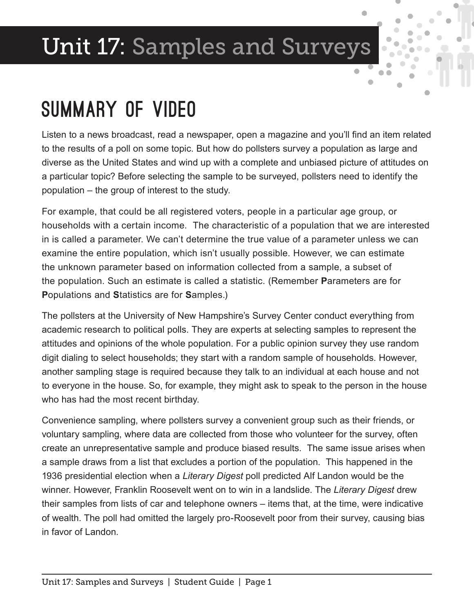# Unit 17: Samples and Surveys

#### Summary of Video

Listen to a news broadcast, read a newspaper, open a magazine and you'll find an item related to the results of a poll on some topic. But how do pollsters survey a population as large and diverse as the United States and wind up with a complete and unbiased picture of attitudes on a particular topic? Before selecting the sample to be surveyed, pollsters need to identify the population – the group of interest to the study.

For example, that could be all registered voters, people in a particular age group, or households with a certain income. The characteristic of a population that we are interested in is called a parameter. We can't determine the true value of a parameter unless we can examine the entire population, which isn't usually possible. However, we can estimate the unknown parameter based on information collected from a sample, a subset of the population. Such an estimate is called a statistic. (Remember **P**arameters are for **P**opulations and **S**tatistics are for **S**amples.)

The pollsters at the University of New Hampshire's Survey Center conduct everything from academic research to political polls. They are experts at selecting samples to represent the attitudes and opinions of the whole population. For a public opinion survey they use random digit dialing to select households; they start with a random sample of households. However, another sampling stage is required because they talk to an individual at each house and not to everyone in the house. So, for example, they might ask to speak to the person in the house who has had the most recent birthday.

Convenience sampling, where pollsters survey a convenient group such as their friends, or voluntary sampling, where data are collected from those who volunteer for the survey, often create an unrepresentative sample and produce biased results. The same issue arises when a sample draws from a list that excludes a portion of the population. This happened in the 1936 presidential election when a *Literary Digest* poll predicted Alf Landon would be the winner. However, Franklin Roosevelt went on to win in a landslide. The *Literary Digest* drew their samples from lists of car and telephone owners – items that, at the time, were indicative of wealth. The poll had omitted the largely pro-Roosevelt poor from their survey, causing bias in favor of Landon.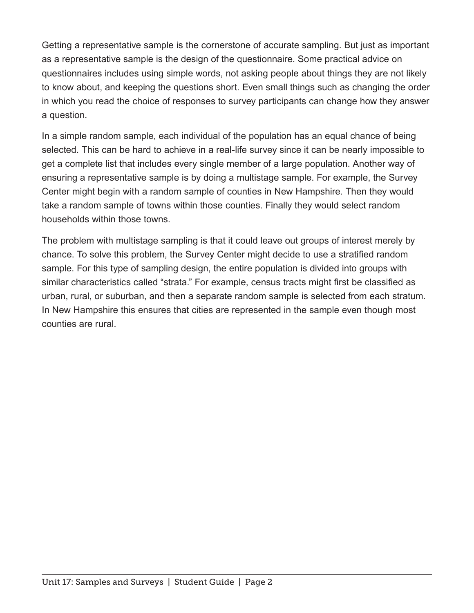Getting a representative sample is the cornerstone of accurate sampling. But just as important as a representative sample is the design of the questionnaire. Some practical advice on questionnaires includes using simple words, not asking people about things they are not likely to know about, and keeping the questions short. Even small things such as changing the order in which you read the choice of responses to survey participants can change how they answer a question.

In a simple random sample, each individual of the population has an equal chance of being selected. This can be hard to achieve in a real-life survey since it can be nearly impossible to get a complete list that includes every single member of a large population. Another way of ensuring a representative sample is by doing a multistage sample. For example, the Survey Center might begin with a random sample of counties in New Hampshire. Then they would take a random sample of towns within those counties. Finally they would select random households within those towns.

The problem with multistage sampling is that it could leave out groups of interest merely by chance. To solve this problem, the Survey Center might decide to use a stratified random sample. For this type of sampling design, the entire population is divided into groups with similar characteristics called "strata." For example, census tracts might first be classified as urban, rural, or suburban, and then a separate random sample is selected from each stratum. In New Hampshire this ensures that cities are represented in the sample even though most counties are rural.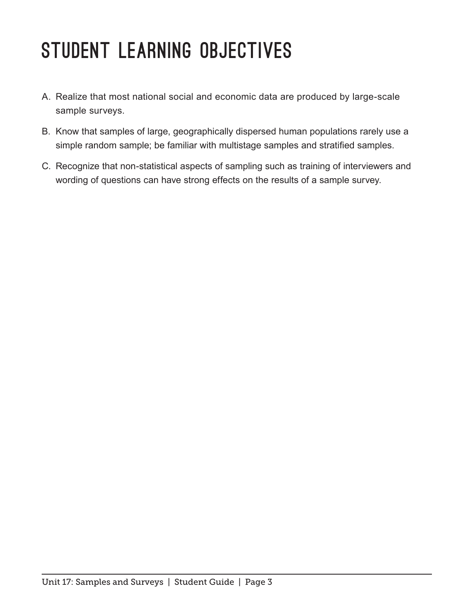# STUDENT LEARNING OBJECTIVES

- A. Realize that most national social and economic data are produced by large-scale sample surveys.
- B. Know that samples of large, geographically dispersed human populations rarely use a simple random sample; be familiar with multistage samples and stratified samples.
- C. Recognize that non-statistical aspects of sampling such as training of interviewers and wording of questions can have strong effects on the results of a sample survey.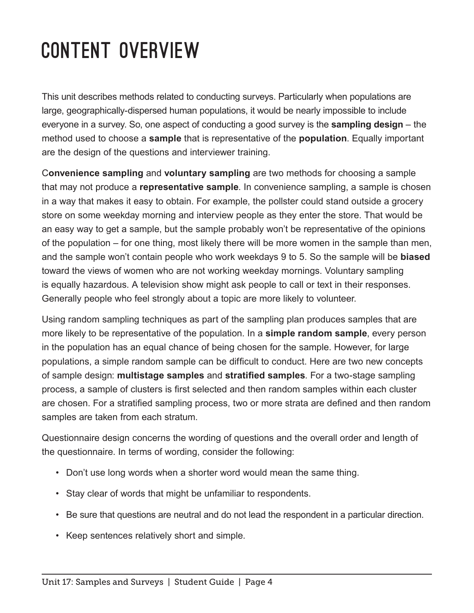# Content Overview

This unit describes methods related to conducting surveys. Particularly when populations are large, geographically-dispersed human populations, it would be nearly impossible to include everyone in a survey. So, one aspect of conducting a good survey is the **sampling design** – the method used to choose a **sample** that is representative of the **population**. Equally important are the design of the questions and interviewer training.

C**onvenience sampling** and **voluntary sampling** are two methods for choosing a sample that may not produce a **representative sample**. In convenience sampling, a sample is chosen in a way that makes it easy to obtain. For example, the pollster could stand outside a grocery store on some weekday morning and interview people as they enter the store. That would be an easy way to get a sample, but the sample probably won't be representative of the opinions of the population – for one thing, most likely there will be more women in the sample than men, and the sample won't contain people who work weekdays 9 to 5. So the sample will be **biased** toward the views of women who are not working weekday mornings. Voluntary sampling is equally hazardous. A television show might ask people to call or text in their responses. Generally people who feel strongly about a topic are more likely to volunteer.

Using random sampling techniques as part of the sampling plan produces samples that are more likely to be representative of the population. In a **simple random sample**, every person in the population has an equal chance of being chosen for the sample. However, for large populations, a simple random sample can be difficult to conduct. Here are two new concepts of sample design: **multistage samples** and **stratified samples**. For a two-stage sampling process, a sample of clusters is first selected and then random samples within each cluster are chosen. For a stratified sampling process, two or more strata are defined and then random samples are taken from each stratum.

Questionnaire design concerns the wording of questions and the overall order and length of the questionnaire. In terms of wording, consider the following:

- Don't use long words when a shorter word would mean the same thing.
- Stay clear of words that might be unfamiliar to respondents.
- Be sure that questions are neutral and do not lead the respondent in a particular direction.
- Keep sentences relatively short and simple.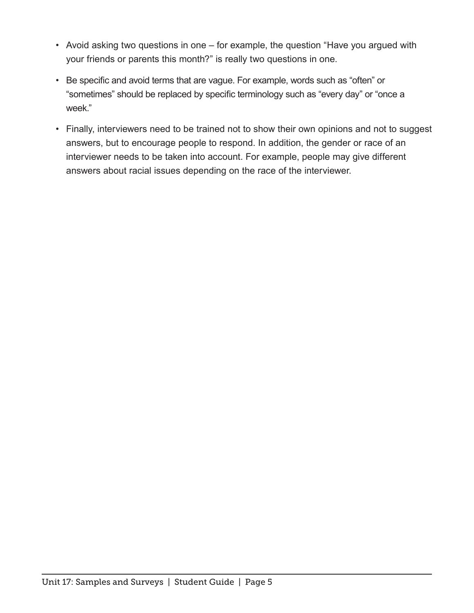- Avoid asking two questions in one for example, the question "Have you argued with your friends or parents this month?" is really two questions in one.
- Be specific and avoid terms that are vague. For example, words such as "often" or "sometimes" should be replaced by specific terminology such as "every day" or "once a week."
- Finally, interviewers need to be trained not to show their own opinions and not to suggest answers, but to encourage people to respond. In addition, the gender or race of an interviewer needs to be taken into account. For example, people may give different answers about racial issues depending on the race of the interviewer.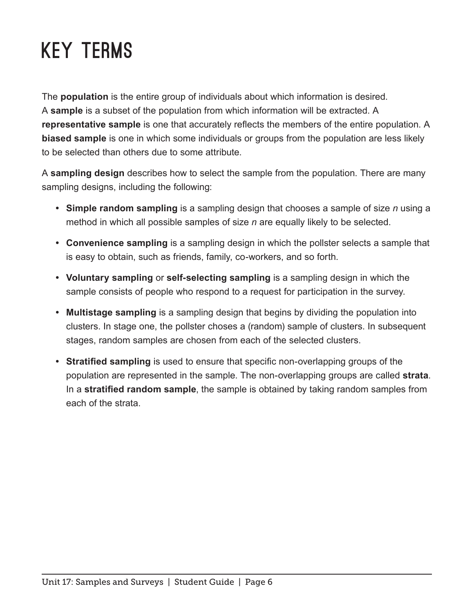# Key Terms

The **population** is the entire group of individuals about which information is desired. A **sample** is a subset of the population from which information will be extracted. A **representative sample** is one that accurately reflects the members of the entire population. A **biased sample** is one in which some individuals or groups from the population are less likely to be selected than others due to some attribute.

A **sampling design** describes how to select the sample from the population. There are many sampling designs, including the following:

- **• Simple random sampling** is a sampling design that chooses a sample of size *n* using a method in which all possible samples of size *n* are equally likely to be selected.
- **• Convenience sampling** is a sampling design in which the pollster selects a sample that is easy to obtain, such as friends, family, co-workers, and so forth.
- **• Voluntary sampling** or **self-selecting sampling** is a sampling design in which the sample consists of people who respond to a request for participation in the survey.
- **• Multistage sampling** is a sampling design that begins by dividing the population into clusters. In stage one, the pollster choses a (random) sample of clusters. In subsequent stages, random samples are chosen from each of the selected clusters.
- **• Stratified sampling** is used to ensure that specific non-overlapping groups of the population are represented in the sample. The non-overlapping groups are called **strata**. In a **stratified random sample**, the sample is obtained by taking random samples from each of the strata.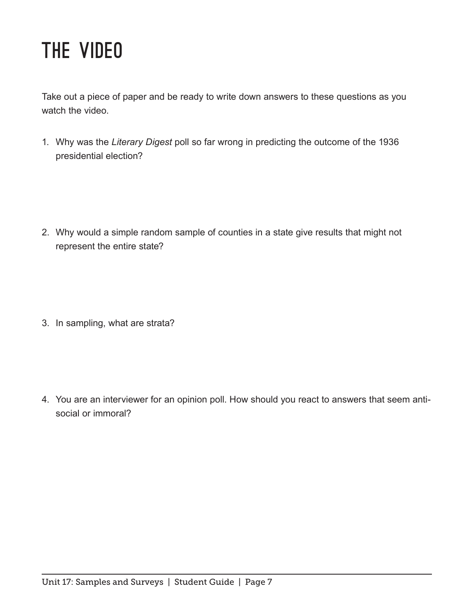#### The Video

Take out a piece of paper and be ready to write down answers to these questions as you watch the video.

1. Why was the *Literary Digest* poll so far wrong in predicting the outcome of the 1936 presidential election?

2. Why would a simple random sample of counties in a state give results that might not represent the entire state?

3. In sampling, what are strata?

4. You are an interviewer for an opinion poll. How should you react to answers that seem antisocial or immoral?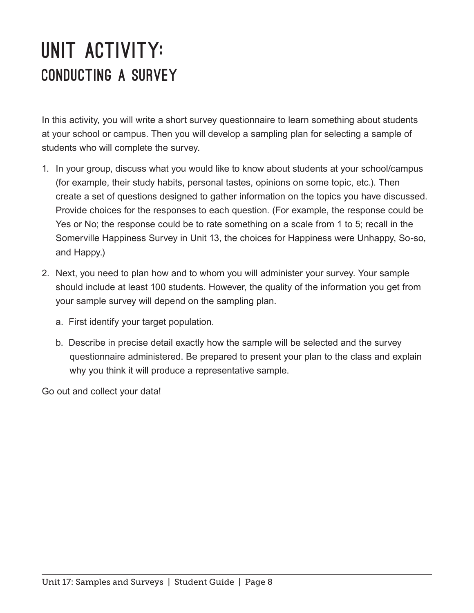#### UNIT ACTIVITY: Conducting a Survey

In this activity, you will write a short survey questionnaire to learn something about students at your school or campus. Then you will develop a sampling plan for selecting a sample of students who will complete the survey.

- 1. In your group, discuss what you would like to know about students at your school/campus (for example, their study habits, personal tastes, opinions on some topic, etc.). Then create a set of questions designed to gather information on the topics you have discussed. Provide choices for the responses to each question. (For example, the response could be Yes or No; the response could be to rate something on a scale from 1 to 5; recall in the Somerville Happiness Survey in Unit 13, the choices for Happiness were Unhappy, So-so, and Happy.)
- 2. Next, you need to plan how and to whom you will administer your survey. Your sample should include at least 100 students. However, the quality of the information you get from your sample survey will depend on the sampling plan.
	- a. First identify your target population.
	- b. Describe in precise detail exactly how the sample will be selected and the survey questionnaire administered. Be prepared to present your plan to the class and explain why you think it will produce a representative sample.

Go out and collect your data!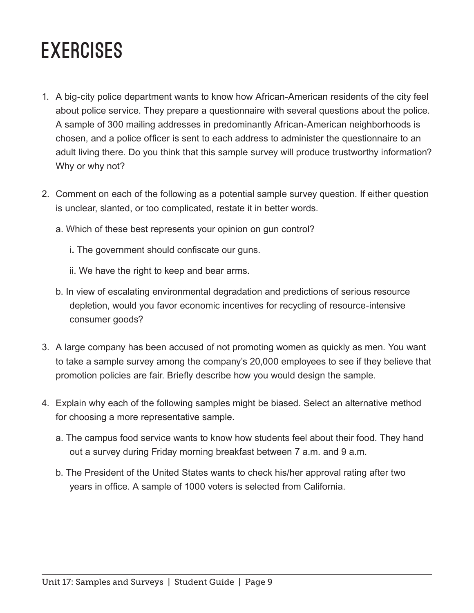#### **EXERCISES**

- 1. A big-city police department wants to know how African-American residents of the city feel about police service. They prepare a questionnaire with several questions about the police. A sample of 300 mailing addresses in predominantly African-American neighborhoods is chosen, and a police officer is sent to each address to administer the questionnaire to an adult living there. Do you think that this sample survey will produce trustworthy information? Why or why not?
- 2. Comment on each of the following as a potential sample survey question. If either question is unclear, slanted, or too complicated, restate it in better words.
	- a. Which of these best represents your opinion on gun control?
		- i**.** The government should confiscate our guns.
		- ii. We have the right to keep and bear arms.
	- b. In view of escalating environmental degradation and predictions of serious resource depletion, would you favor economic incentives for recycling of resource-intensive consumer goods?
- 3. A large company has been accused of not promoting women as quickly as men. You want to take a sample survey among the company's 20,000 employees to see if they believe that promotion policies are fair. Briefly describe how you would design the sample.
- 4. Explain why each of the following samples might be biased. Select an alternative method for choosing a more representative sample.
	- a. The campus food service wants to know how students feel about their food. They hand out a survey during Friday morning breakfast between 7 a.m. and 9 a.m.
	- b. The President of the United States wants to check his/her approval rating after two years in office. A sample of 1000 voters is selected from California.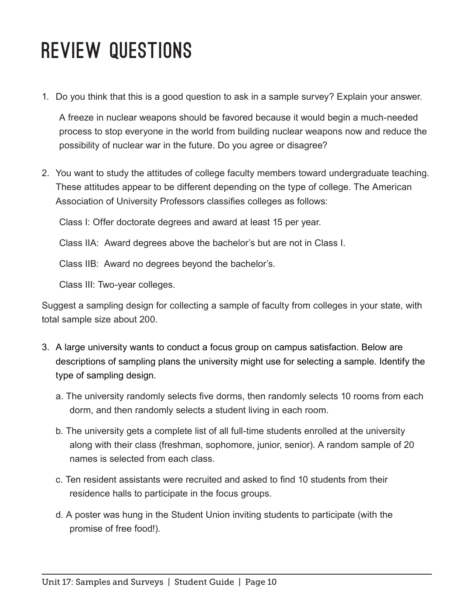### Review Questions

1. Do you think that this is a good question to ask in a sample survey? Explain your answer.

A freeze in nuclear weapons should be favored because it would begin a much-needed process to stop everyone in the world from building nuclear weapons now and reduce the possibility of nuclear war in the future. Do you agree or disagree?

2. You want to study the attitudes of college faculty members toward undergraduate teaching. These attitudes appear to be different depending on the type of college. The American Association of University Professors classifies colleges as follows:

Class I: Offer doctorate degrees and award at least 15 per year.

Class IIA: Award degrees above the bachelor's but are not in Class I.

Class IIB: Award no degrees beyond the bachelor's.

Class III: Two-year colleges.

Suggest a sampling design for collecting a sample of faculty from colleges in your state, with total sample size about 200.

- 3. A large university wants to conduct a focus group on campus satisfaction. Below are descriptions of sampling plans the university might use for selecting a sample. Identify the type of sampling design.
	- a. The university randomly selects five dorms, then randomly selects 10 rooms from each dorm, and then randomly selects a student living in each room.
	- b. The university gets a complete list of all full-time students enrolled at the university along with their class (freshman, sophomore, junior, senior). A random sample of 20 names is selected from each class.
	- c. Ten resident assistants were recruited and asked to find 10 students from their residence halls to participate in the focus groups.
	- d. A poster was hung in the Student Union inviting students to participate (with the promise of free food!).